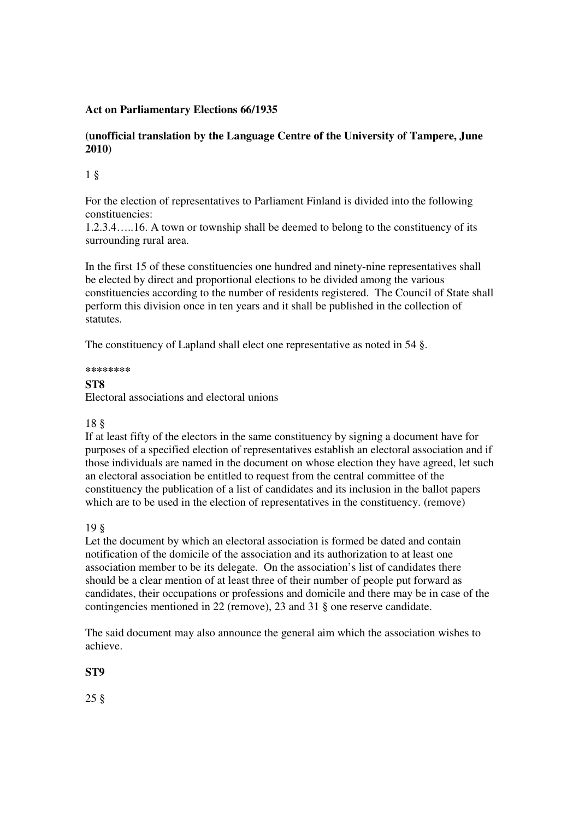#### **Act on Parliamentary Elections 66/1935**

#### **(unofficial translation by the Language Centre of the University of Tampere, June 2010)**

#### 1 §

For the election of representatives to Parliament Finland is divided into the following constituencies:

1.2.3.4…..16. A town or township shall be deemed to belong to the constituency of its surrounding rural area.

In the first 15 of these constituencies one hundred and ninety-nine representatives shall be elected by direct and proportional elections to be divided among the various constituencies according to the number of residents registered. The Council of State shall perform this division once in ten years and it shall be published in the collection of statutes.

The constituency of Lapland shall elect one representative as noted in 54 §.

**\*\*\*\*\*\*\*\***

#### **ST8**

Electoral associations and electoral unions

#### 18 §

If at least fifty of the electors in the same constituency by signing a document have for purposes of a specified election of representatives establish an electoral association and if those individuals are named in the document on whose election they have agreed, let such an electoral association be entitled to request from the central committee of the constituency the publication of a list of candidates and its inclusion in the ballot papers which are to be used in the election of representatives in the constituency. (remove)

#### 19 §

Let the document by which an electoral association is formed be dated and contain notification of the domicile of the association and its authorization to at least one association member to be its delegate. On the association's list of candidates there should be a clear mention of at least three of their number of people put forward as candidates, their occupations or professions and domicile and there may be in case of the contingencies mentioned in 22 (remove), 23 and 31 § one reserve candidate.

The said document may also announce the general aim which the association wishes to achieve.

#### **ST9**

25 §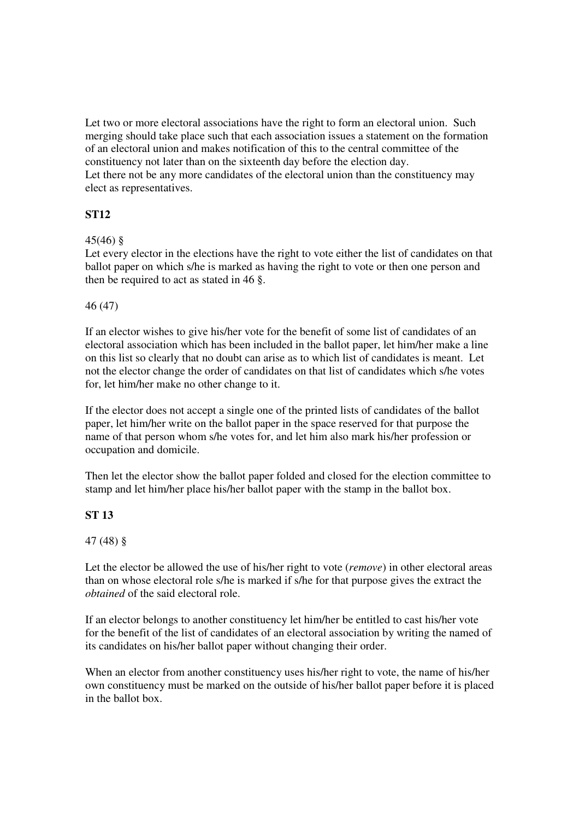Let two or more electoral associations have the right to form an electoral union. Such merging should take place such that each association issues a statement on the formation of an electoral union and makes notification of this to the central committee of the constituency not later than on the sixteenth day before the election day. Let there not be any more candidates of the electoral union than the constituency may elect as representatives.

## **ST12**

#### 45(46) §

Let every elector in the elections have the right to vote either the list of candidates on that ballot paper on which s/he is marked as having the right to vote or then one person and then be required to act as stated in 46 §.

#### 46 (47)

If an elector wishes to give his/her vote for the benefit of some list of candidates of an electoral association which has been included in the ballot paper, let him/her make a line on this list so clearly that no doubt can arise as to which list of candidates is meant. Let not the elector change the order of candidates on that list of candidates which s/he votes for, let him/her make no other change to it.

If the elector does not accept a single one of the printed lists of candidates of the ballot paper, let him/her write on the ballot paper in the space reserved for that purpose the name of that person whom s/he votes for, and let him also mark his/her profession or occupation and domicile.

Then let the elector show the ballot paper folded and closed for the election committee to stamp and let him/her place his/her ballot paper with the stamp in the ballot box.

#### **ST 13**

#### 47 (48) §

Let the elector be allowed the use of his/her right to vote (*remove*) in other electoral areas than on whose electoral role s/he is marked if s/he for that purpose gives the extract the *obtained* of the said electoral role.

If an elector belongs to another constituency let him/her be entitled to cast his/her vote for the benefit of the list of candidates of an electoral association by writing the named of its candidates on his/her ballot paper without changing their order.

When an elector from another constituency uses his/her right to vote, the name of his/her own constituency must be marked on the outside of his/her ballot paper before it is placed in the ballot box.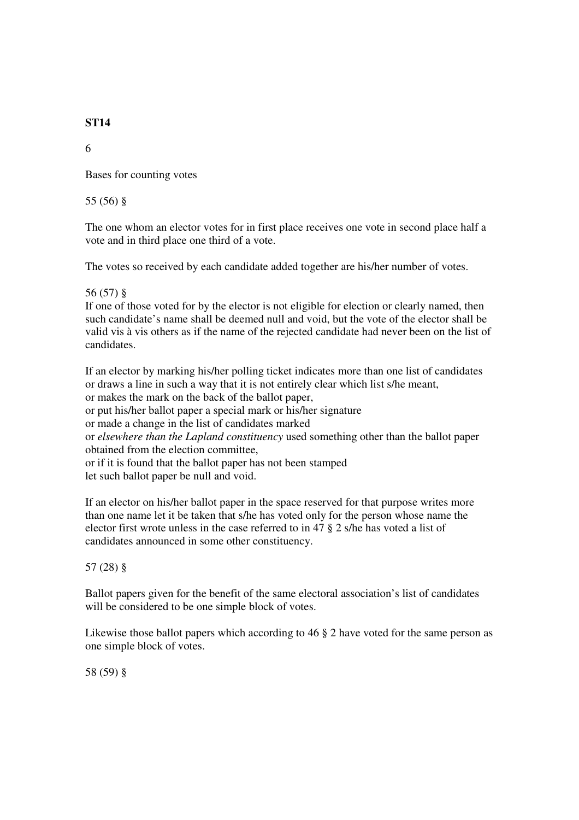#### **ST14**

6

Bases for counting votes

55 (56) §

The one whom an elector votes for in first place receives one vote in second place half a vote and in third place one third of a vote.

The votes so received by each candidate added together are his/her number of votes.

#### 56 (57) §

If one of those voted for by the elector is not eligible for election or clearly named, then such candidate's name shall be deemed null and void, but the vote of the elector shall be valid vis à vis others as if the name of the rejected candidate had never been on the list of candidates.

If an elector by marking his/her polling ticket indicates more than one list of candidates or draws a line in such a way that it is not entirely clear which list s/he meant, or makes the mark on the back of the ballot paper, or put his/her ballot paper a special mark or his/her signature or made a change in the list of candidates marked or *elsewhere than the Lapland constituency* used something other than the ballot paper obtained from the election committee, or if it is found that the ballot paper has not been stamped let such ballot paper be null and void.

If an elector on his/her ballot paper in the space reserved for that purpose writes more than one name let it be taken that s/he has voted only for the person whose name the elector first wrote unless in the case referred to in 47 § 2 s/he has voted a list of candidates announced in some other constituency.

#### 57 (28) §

Ballot papers given for the benefit of the same electoral association's list of candidates will be considered to be one simple block of votes.

Likewise those ballot papers which according to 46  $\S$  2 have voted for the same person as one simple block of votes.

58 (59) §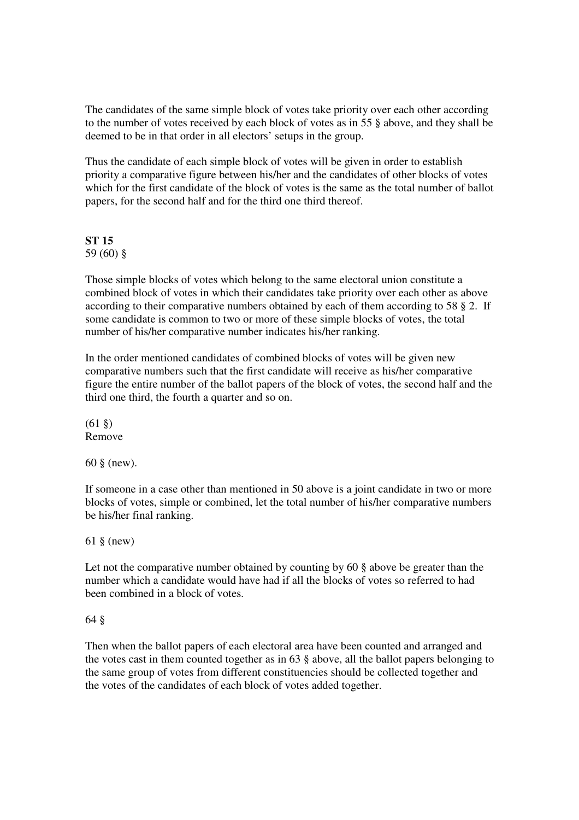The candidates of the same simple block of votes take priority over each other according to the number of votes received by each block of votes as in 55 § above, and they shall be deemed to be in that order in all electors' setups in the group.

Thus the candidate of each simple block of votes will be given in order to establish priority a comparative figure between his/her and the candidates of other blocks of votes which for the first candidate of the block of votes is the same as the total number of ballot papers, for the second half and for the third one third thereof.

# **ST 15**

59 (60) §

Those simple blocks of votes which belong to the same electoral union constitute a combined block of votes in which their candidates take priority over each other as above according to their comparative numbers obtained by each of them according to 58 § 2. If some candidate is common to two or more of these simple blocks of votes, the total number of his/her comparative number indicates his/her ranking.

In the order mentioned candidates of combined blocks of votes will be given new comparative numbers such that the first candidate will receive as his/her comparative figure the entire number of the ballot papers of the block of votes, the second half and the third one third, the fourth a quarter and so on.

 $(61 \&)$ Remove

60 § (new).

If someone in a case other than mentioned in 50 above is a joint candidate in two or more blocks of votes, simple or combined, let the total number of his/her comparative numbers be his/her final ranking.

61 § (new)

Let not the comparative number obtained by counting by 60 § above be greater than the number which a candidate would have had if all the blocks of votes so referred to had been combined in a block of votes.

64 §

Then when the ballot papers of each electoral area have been counted and arranged and the votes cast in them counted together as in 63 § above, all the ballot papers belonging to the same group of votes from different constituencies should be collected together and the votes of the candidates of each block of votes added together.